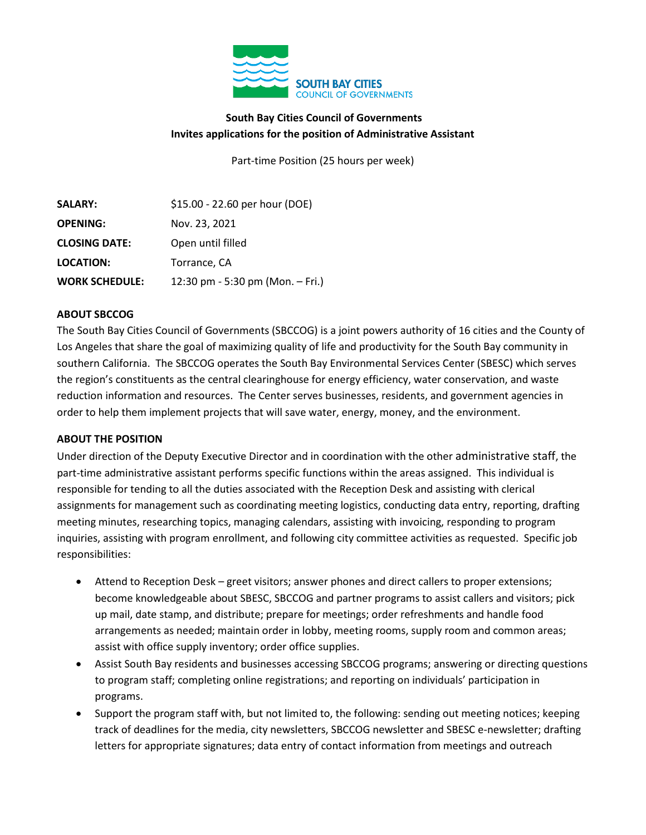

# **South Bay Cities Council of Governments Invites applications for the position of Administrative Assistant**

Part-time Position (25 hours per week)

| <b>SALARY:</b>        | \$15.00 - 22.60 per hour (DOE)   |
|-----------------------|----------------------------------|
| <b>OPENING:</b>       | Nov. 23, 2021                    |
| <b>CLOSING DATE:</b>  | Open until filled                |
| <b>LOCATION:</b>      | Torrance, CA                     |
| <b>WORK SCHEDULE:</b> | 12:30 pm - 5:30 pm (Mon. - Fri.) |

### **ABOUT SBCCOG**

The South Bay Cities Council of Governments (SBCCOG) is a joint powers authority of 16 cities and the County of Los Angeles that share the goal of maximizing quality of life and productivity for the South Bay community in southern California. The SBCCOG operates the South Bay Environmental Services Center (SBESC) which serves the region's constituents as the central clearinghouse for energy efficiency, water conservation, and waste reduction information and resources. The Center serves businesses, residents, and government agencies in order to help them implement projects that will save water, energy, money, and the environment.

### **ABOUT THE POSITION**

Under direction of the Deputy Executive Director and in coordination with the other administrative staff, the part-time administrative assistant performs specific functions within the areas assigned. This individual is responsible for tending to all the duties associated with the Reception Desk and assisting with clerical assignments for management such as coordinating meeting logistics, conducting data entry, reporting, drafting meeting minutes, researching topics, managing calendars, assisting with invoicing, responding to program inquiries, assisting with program enrollment, and following city committee activities as requested. Specific job responsibilities:

- Attend to Reception Desk greet visitors; answer phones and direct callers to proper extensions; become knowledgeable about SBESC, SBCCOG and partner programs to assist callers and visitors; pick up mail, date stamp, and distribute; prepare for meetings; order refreshments and handle food arrangements as needed; maintain order in lobby, meeting rooms, supply room and common areas; assist with office supply inventory; order office supplies.
- Assist South Bay residents and businesses accessing SBCCOG programs; answering or directing questions to program staff; completing online registrations; and reporting on individuals' participation in programs.
- Support the program staff with, but not limited to, the following: sending out meeting notices; keeping track of deadlines for the media, city newsletters, SBCCOG newsletter and SBESC e-newsletter; drafting letters for appropriate signatures; data entry of contact information from meetings and outreach